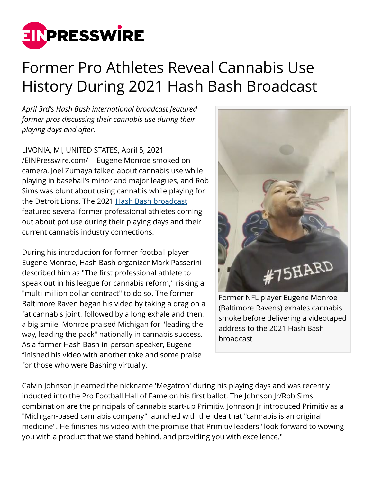

## Former Pro Athletes Reveal Cannabis Use History During 2021 Hash Bash Broadcast

*April 3rd's Hash Bash international broadcast featured former pros discussing their cannabis use during their playing days and after.*

LIVONIA, MI, UNITED STATES, April 5, 2021 [/EINPresswire.com/](http://www.einpresswire.com) -- Eugene Monroe smoked oncamera, Joel Zumaya talked about cannabis use while playing in baseball's minor and major leagues, and Rob Sims was blunt about using cannabis while playing for the Detroit Lions. The 2021 [Hash Bash broadcast](https://www.facebook.com/112281030939018/videos/848902795690111) featured several former professional athletes coming out about pot use during their playing days and their current cannabis industry connections.

During his introduction for former football player Eugene Monroe, Hash Bash organizer Mark Passerini described him as "The first professional athlete to speak out in his league for cannabis reform," risking a "multi-million dollar contract" to do so. The former Baltimore Raven began his video by taking a drag on a fat cannabis joint, followed by a long exhale and then, a big smile. Monroe praised Michigan for "leading the way, leading the pack" nationally in cannabis success. As a former Hash Bash in-person speaker, Eugene finished his video with another toke and some praise for those who were Bashing virtually.



Former NFL player Eugene Monroe (Baltimore Ravens) exhales cannabis smoke before delivering a videotaped address to the 2021 Hash Bash broadcast

Calvin Johnson Jr earned the nickname 'Megatron' during his playing days and was recently inducted into the Pro Football Hall of Fame on his first ballot. The Johnson Jr/Rob Sims combination are the principals of cannabis start-up Primitiv. Johnson Jr introduced Primitiv as a "Michigan-based cannabis company" launched with the idea that "cannabis is an original medicine". He finishes his video with the promise that Primitiv leaders "look forward to wowing you with a product that we stand behind, and providing you with excellence."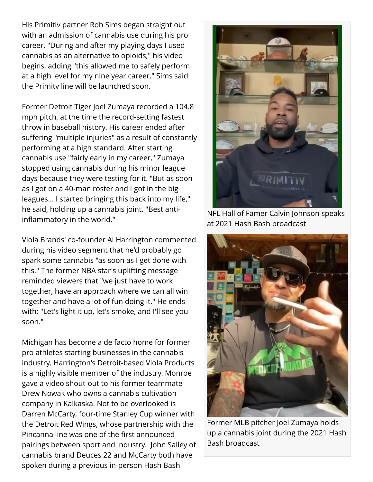His Primitiv partner Rob Sims began straight out with an admission of cannabis use during his pro career. "During and after my playing days I used cannabis as an alternative to opioids," his video begins, adding "this allowed me to safely perform at a high level for my nine year career." Sims said the Primitv line will be launched soon.

Former Detroit Tiger Joel Zumaya recorded a 104.8 mph pitch, at the time the record-setting fastest throw in baseball history. His career ended after suffering "multiple injuries" as a result of constantly performing at a high standard. After starting cannabis use "fairly early in my career," Zumaya stopped using cannabis during his minor league days because they were testing for it. "But as soon as I got on a 40-man roster and I got in the big leagues... I started bringing this back into my life," he said, holding up a cannabis joint. "Best antiinflammatory in the world."

Viola Brands' co-founder Al Harrington commented during his video segment that he'd probably go spark some cannabis "as soon as I get done with this." The former NBA star's uplifting message reminded viewers that "we just have to work together, have an approach where we can all win together and have a lot of fun doing it." He ends with: "Let's light it up, let's smoke, and I'll see you soon."

Michigan has become a de facto home for former pro athletes starting businesses in the cannabis industry. Harrington's Detroit-based Viola Products is a highly visible member of the industry. Monroe gave a video shout-out to his former teammate Drew Nowak who owns a cannabis cultivation company in Kalkaska. Not to be overlooked is Darren McCarty, four-time Stanley Cup winner with the Detroit Red Wings, whose partnership with the Pincanna line was one of the first announced pairings between sport and industry. John Salley of cannabis brand Deuces 22 and McCarty both have spoken during a previous in-person Hash Bash



NFL Hall of Famer Calvin Johnson speaks at 2021 Hash Bash broadcast



Former MLB pitcher Joel Zumaya holds up a cannabis joint during the 2021 Hash Bash broadcast